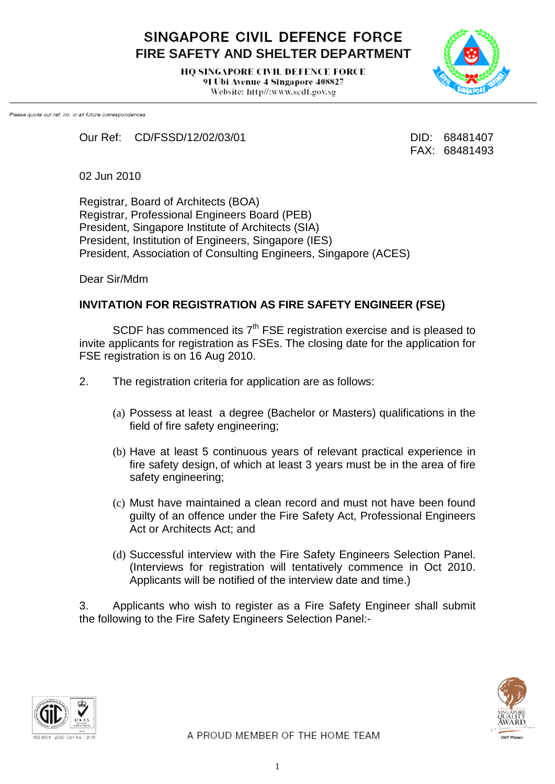SINGAPORE CIVIL DEFENCE FORCE **FIRE SAFETY AND SHELTER DEPARTMENT**

> **HO SINGAPORE CIVIL DEFENCE FORCE** 91 Ubi Avenue 4 Singapore 408827 Website: http//:www.scdf.gov.sg



Please quote our ref. no. in all future correspondences

Our Ref: CD/FSSD/12/02/03/01 DID: 68481407

FAX: 68481493

02 Jun 2010

Registrar, Board of Architects (BOA) Registrar, Professional Engineers Board (PEB) President, Singapore Institute of Architects (SIA) President, Institution of Engineers, Singapore (IES) President, Association of Consulting Engineers, Singapore (ACES)

Dear Sir/Mdm

## **INVITATION FOR REGISTRATION AS FIRE SAFETY ENGINEER (FSE)**

SCDF has commenced its  $7<sup>th</sup>$  FSE registration exercise and is pleased to invite applicants for registration as FSEs. The closing date for the application for FSE registration is on 16 Aug 2010.

- 2. The registration criteria for application are as follows:
	- (a) Possess at least a degree (Bachelor or Masters) qualifications in the field of fire safety engineering;
	- (b) Have at least 5 continuous years of relevant practical experience in fire safety design, of which at least 3 years must be in the area of fire safety engineering;
	- (c) Must have maintained a clean record and must not have been found guilty of an offence under the Fire Safety Act, Professional Engineers Act or Architects Act; and
	- (d) Successful interview with the Fire Safety Engineers Selection Panel. (Interviews for registration will tentatively commence in Oct 2010. Applicants will be notified of the interview date and time.)

3. Applicants who wish to register as a Fire Safety Engineer shall submit the following to the Fire Safety Engineers Selection Panel:-



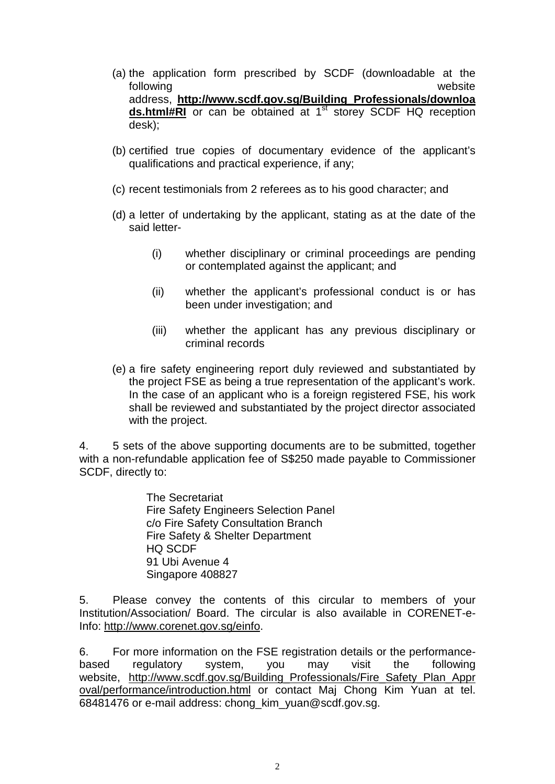- (a) the application form prescribed by SCDF (downloadable at the following website address, **[http://www.scdf.gov.sg/Building\\_Professionals/downloa](http://www.scdf.gov.sg/Building_Professionals/downloads.html#RI) [ds.html#RI](http://www.scdf.gov.sg/Building_Professionals/downloads.html#RI)** or can be obtained at 1<sup>st</sup> storey SCDF HQ reception desk);
- (b) certified true copies of documentary evidence of the applicant's qualifications and practical experience, if any;
- (c) recent testimonials from 2 referees as to his good character; and
- (d) a letter of undertaking by the applicant, stating as at the date of the said letter-
	- (i) whether disciplinary or criminal proceedings are pending or contemplated against the applicant; and
	- (ii) whether the applicant's professional conduct is or has been under investigation; and
	- (iii) whether the applicant has any previous disciplinary or criminal records
- (e) a fire safety engineering report duly reviewed and substantiated by the project FSE as being a true representation of the applicant's work. In the case of an applicant who is a foreign registered FSE, his work shall be reviewed and substantiated by the project director associated with the project.

4. 5 sets of the above supporting documents are to be submitted, together with a non-refundable application fee of S\$250 made payable to Commissioner SCDF, directly to:

> The Secretariat Fire Safety Engineers Selection Panel c/o Fire Safety Consultation Branch Fire Safety & Shelter Department HQ SCDF 91 Ubi Avenue 4 Singapore 408827

5. Please convey the contents of this circular to members of your Institution/Association/ Board. The circular is also available in CORENET-e-Info: [http://www.corenet.gov.sg/einfo.](http://www.corenet.gov.sg/einfo)

6. For more information on the FSE registration details or the performancebased regulatory system, you may visit the following website, http://www.scdf.gov.sg/Building Professionals/Fire Safety Plan Appr [oval/performance/introduction.html](http://www.scdf.gov.sg/Building_Professionals/Fire_Safety_Plan_Approval/performance/introduction.html) or contact Maj Chong Kim Yuan at tel. 68481476 or e-mail address: chong\_kim\_yuan@scdf.gov.sg.